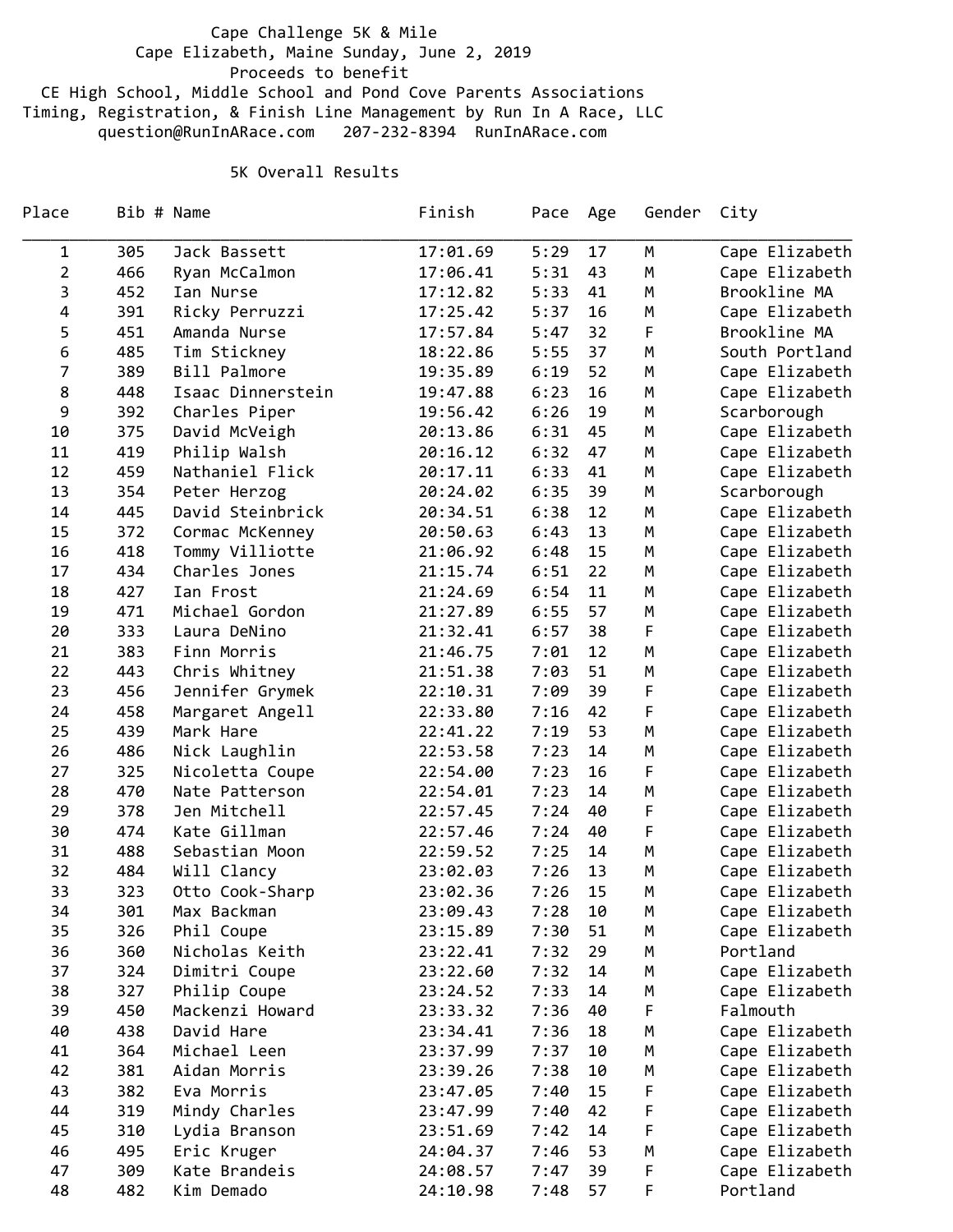Cape Challenge 5K & Mile Cape Elizabeth, Maine Sunday, June 2, 2019 Proceeds to benefit CE High School, Middle School and Pond Cove Parents Associations Timing, Registration, & Finish Line Management by Run In A Race, LLC question@RunInARace.com 207‐232‐8394 RunInARace.com

## 5K Overall Results

| Place          |     | Bib # Name        | Finish   | Pace | Age | Gender | City           |
|----------------|-----|-------------------|----------|------|-----|--------|----------------|
| 1              | 305 | Jack Bassett      | 17:01.69 | 5:29 | 17  | M      | Cape Elizabeth |
| $\overline{2}$ | 466 | Ryan McCalmon     | 17:06.41 | 5:31 | 43  | M      | Cape Elizabeth |
| 3              | 452 | Ian Nurse         | 17:12.82 | 5:33 | 41  | М      | Brookline MA   |
| 4              | 391 | Ricky Perruzzi    | 17:25.42 | 5:37 | 16  | M      | Cape Elizabeth |
| 5              | 451 | Amanda Nurse      | 17:57.84 | 5:47 | 32  | F      | Brookline MA   |
| 6              | 485 | Tim Stickney      | 18:22.86 | 5:55 | 37  | М      | South Portland |
| 7              | 389 | Bill Palmore      | 19:35.89 | 6:19 | 52  | М      | Cape Elizabeth |
| 8              | 448 | Isaac Dinnerstein | 19:47.88 | 6:23 | 16  | М      | Cape Elizabeth |
| 9              | 392 | Charles Piper     | 19:56.42 | 6:26 | 19  | М      | Scarborough    |
| 10             | 375 | David McVeigh     | 20:13.86 | 6:31 | 45  | M      | Cape Elizabeth |
| 11             | 419 | Philip Walsh      | 20:16.12 | 6:32 | 47  | M      | Cape Elizabeth |
| 12             | 459 | Nathaniel Flick   | 20:17.11 | 6:33 | 41  | М      | Cape Elizabeth |
| 13             | 354 | Peter Herzog      | 20:24.02 | 6:35 | 39  | М      | Scarborough    |
| 14             | 445 | David Steinbrick  | 20:34.51 | 6:38 | 12  | М      | Cape Elizabeth |
| 15             | 372 | Cormac McKenney   | 20:50.63 | 6:43 | 13  | M      | Cape Elizabeth |
| 16             | 418 | Tommy Villiotte   | 21:06.92 | 6:48 | 15  | M      | Cape Elizabeth |
| 17             | 434 | Charles Jones     | 21:15.74 | 6:51 | 22  | М      | Cape Elizabeth |
| 18             | 427 | Ian Frost         | 21:24.69 | 6:54 | 11  | М      | Cape Elizabeth |
| 19             | 471 | Michael Gordon    | 21:27.89 | 6:55 | 57  | М      | Cape Elizabeth |
| 20             | 333 | Laura DeNino      | 21:32.41 | 6:57 | 38  | F      | Cape Elizabeth |
| 21             | 383 | Finn Morris       | 21:46.75 | 7:01 | 12  | М      | Cape Elizabeth |
| 22             | 443 | Chris Whitney     | 21:51.38 | 7:03 | 51  | М      | Cape Elizabeth |
| 23             | 456 | Jennifer Grymek   | 22:10.31 | 7:09 | 39  | F      | Cape Elizabeth |
| 24             | 458 | Margaret Angell   | 22:33.80 | 7:16 | 42  | F      | Cape Elizabeth |
| 25             | 439 | Mark Hare         | 22:41.22 | 7:19 | 53  | M      | Cape Elizabeth |
| 26             | 486 | Nick Laughlin     | 22:53.58 | 7:23 | 14  | М      | Cape Elizabeth |
| 27             | 325 | Nicoletta Coupe   | 22:54.00 | 7:23 | 16  | F      | Cape Elizabeth |
| 28             | 470 | Nate Patterson    | 22:54.01 | 7:23 | 14  | М      | Cape Elizabeth |
| 29             | 378 | Jen Mitchell      | 22:57.45 | 7:24 | 40  | F      | Cape Elizabeth |
| 30             | 474 | Kate Gillman      | 22:57.46 | 7:24 | 40  | F      | Cape Elizabeth |
| 31             | 488 | Sebastian Moon    | 22:59.52 | 7:25 | 14  | M      | Cape Elizabeth |
| 32             | 484 | Will Clancy       | 23:02.03 | 7:26 | 13  | М      | Cape Elizabeth |
| 33             | 323 | Otto Cook-Sharp   | 23:02.36 | 7:26 | 15  | Μ      | Cape Elizabeth |
| 34             | 301 | Max Backman       | 23:09.43 | 7:28 | 10  | M      | Cape Elizabeth |
| 35             | 326 | Phil Coupe        | 23:15.89 | 7:30 | 51  | М      | Cape Elizabeth |
| 36             | 360 | Nicholas Keith    | 23:22.41 | 7:32 | 29  | М      | Portland       |
| 37             | 324 | Dimitri Coupe     | 23:22.60 | 7:32 | 14  | Μ      | Cape Elizabeth |
| 38             | 327 | Philip Coupe      | 23:24.52 | 7:33 | 14  | Μ      | Cape Elizabeth |
| 39             | 450 | Mackenzi Howard   | 23:33.32 | 7:36 | 40  | F      | Falmouth       |
| 40             | 438 | David Hare        | 23:34.41 | 7:36 | 18  | Μ      | Cape Elizabeth |
| 41             | 364 | Michael Leen      | 23:37.99 | 7:37 | 10  | м      | Cape Elizabeth |
| 42             | 381 | Aidan Morris      | 23:39.26 | 7:38 | 10  | Μ      | Cape Elizabeth |
| 43             | 382 | Eva Morris        | 23:47.05 | 7:40 | 15  | F      | Cape Elizabeth |
| 44             | 319 | Mindy Charles     | 23:47.99 | 7:40 | 42  | F      | Cape Elizabeth |
| 45             | 310 | Lydia Branson     | 23:51.69 | 7:42 | 14  | F      | Cape Elizabeth |
| 46             | 495 | Eric Kruger       | 24:04.37 | 7:46 | 53  | Μ      | Cape Elizabeth |
| 47             | 309 | Kate Brandeis     | 24:08.57 | 7:47 | 39  | F      | Cape Elizabeth |
| 48             | 482 | Kim Demado        | 24:10.98 | 7:48 | 57  | F.     | Portland       |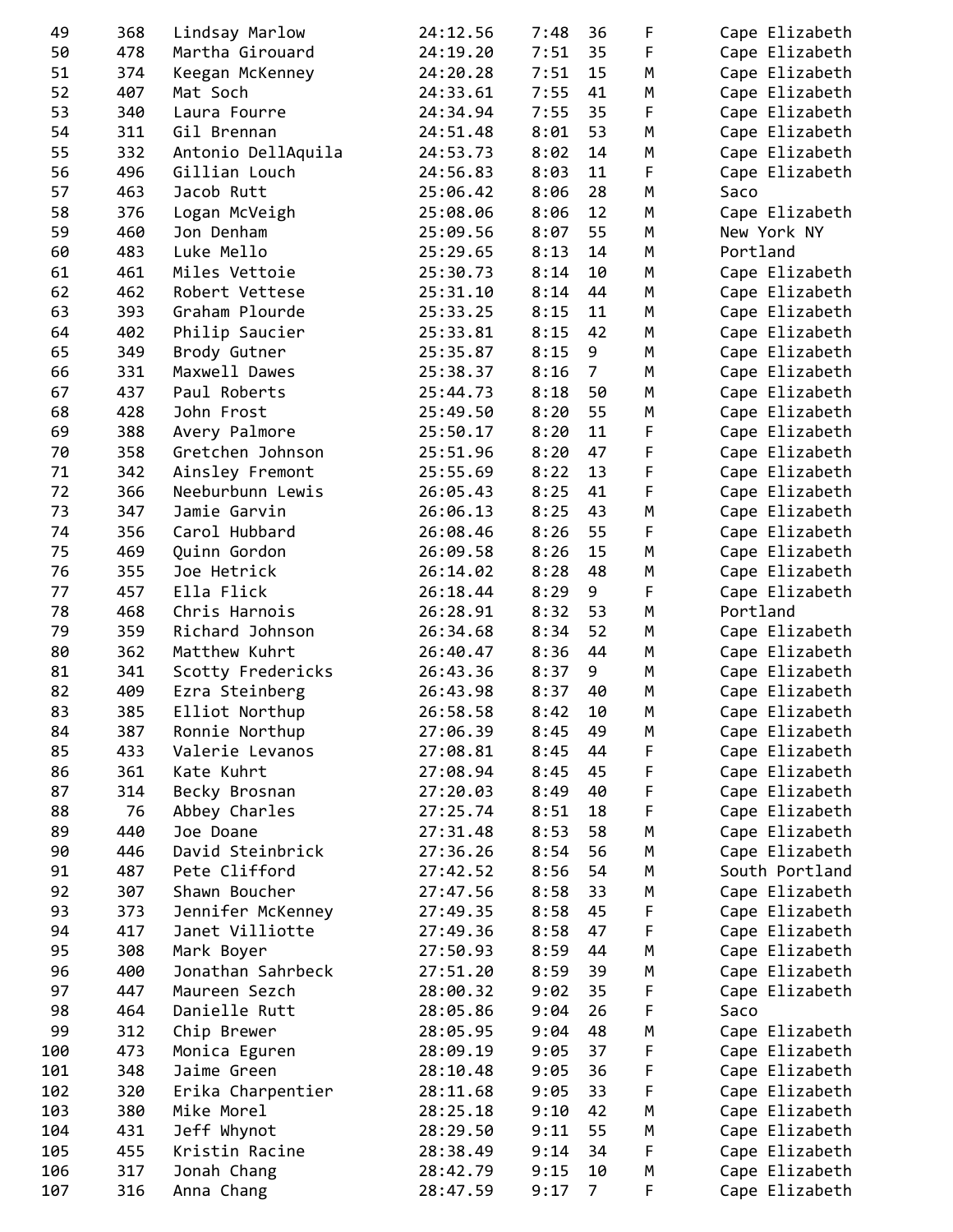| 49  | 368 | Lindsay Marlow     | 24:12.56 | 7:48 | 36             | F | Cape Elizabeth |
|-----|-----|--------------------|----------|------|----------------|---|----------------|
| 50  | 478 | Martha Girouard    | 24:19.20 | 7:51 | 35             | F | Cape Elizabeth |
| 51  | 374 | Keegan McKenney    | 24:20.28 | 7:51 | 15             | M | Cape Elizabeth |
| 52  | 407 | Mat Soch           | 24:33.61 | 7:55 | 41             | M | Cape Elizabeth |
| 53  | 340 | Laura Fourre       | 24:34.94 | 7:55 | 35             | F | Cape Elizabeth |
| 54  | 311 | Gil Brennan        | 24:51.48 | 8:01 | 53             | M | Cape Elizabeth |
| 55  | 332 | Antonio DellAquila | 24:53.73 | 8:02 | 14             | M | Cape Elizabeth |
| 56  | 496 | Gillian Louch      | 24:56.83 | 8:03 | 11             | F | Cape Elizabeth |
| 57  | 463 | Jacob Rutt         | 25:06.42 | 8:06 | 28             | M | Saco           |
| 58  | 376 | Logan McVeigh      | 25:08.06 | 8:06 | 12             | M | Cape Elizabeth |
| 59  | 460 | Jon Denham         | 25:09.56 | 8:07 | 55             | M | New York NY    |
| 60  | 483 | Luke Mello         | 25:29.65 | 8:13 | 14             | M | Portland       |
| 61  | 461 | Miles Vettoie      | 25:30.73 | 8:14 | 10             | M | Cape Elizabeth |
| 62  | 462 | Robert Vettese     | 25:31.10 | 8:14 | 44             | M | Cape Elizabeth |
| 63  | 393 | Graham Plourde     | 25:33.25 | 8:15 | 11             | M | Cape Elizabeth |
| 64  | 402 | Philip Saucier     |          | 8:15 | 42             | M |                |
|     |     |                    | 25:33.81 |      |                |   | Cape Elizabeth |
| 65  | 349 | Brody Gutner       | 25:35.87 | 8:15 | 9              | M | Cape Elizabeth |
| 66  | 331 | Maxwell Dawes      | 25:38.37 | 8:16 | $\overline{7}$ | M | Cape Elizabeth |
| 67  | 437 | Paul Roberts       | 25:44.73 | 8:18 | 50             | M | Cape Elizabeth |
| 68  | 428 | John Frost         | 25:49.50 | 8:20 | 55             | M | Cape Elizabeth |
| 69  | 388 | Avery Palmore      | 25:50.17 | 8:20 | 11             | F | Cape Elizabeth |
| 70  | 358 | Gretchen Johnson   | 25:51.96 | 8:20 | 47             | F | Cape Elizabeth |
| 71  | 342 | Ainsley Fremont    | 25:55.69 | 8:22 | 13             | F | Cape Elizabeth |
| 72  | 366 | Neeburbunn Lewis   | 26:05.43 | 8:25 | 41             | F | Cape Elizabeth |
| 73  | 347 | Jamie Garvin       | 26:06.13 | 8:25 | 43             | M | Cape Elizabeth |
| 74  | 356 | Carol Hubbard      | 26:08.46 | 8:26 | 55             | F | Cape Elizabeth |
| 75  | 469 | Quinn Gordon       | 26:09.58 | 8:26 | 15             | M | Cape Elizabeth |
| 76  | 355 | Joe Hetrick        | 26:14.02 | 8:28 | 48             | M | Cape Elizabeth |
| 77  | 457 | Ella Flick         | 26:18.44 | 8:29 | 9              | F | Cape Elizabeth |
| 78  | 468 | Chris Harnois      | 26:28.91 | 8:32 | 53             | M | Portland       |
| 79  | 359 | Richard Johnson    | 26:34.68 | 8:34 | 52             | M | Cape Elizabeth |
| 80  | 362 | Matthew Kuhrt      | 26:40.47 | 8:36 | 44             | M | Cape Elizabeth |
| 81  | 341 | Scotty Fredericks  | 26:43.36 | 8:37 | 9              | M | Cape Elizabeth |
| 82  | 409 | Ezra Steinberg     | 26:43.98 | 8:37 | 40             | M | Cape Elizabeth |
| 83  | 385 | Elliot Northup     | 26:58.58 | 8:42 | 10             | M | Cape Elizabeth |
| 84  | 387 | Ronnie Northup     | 27:06.39 | 8:45 | 49             | М | Cape Elizabeth |
| 85  | 433 | Valerie Levanos    | 27:08.81 | 8:45 | 44             | F | Cape Elizabeth |
| 86  | 361 | Kate Kuhrt         | 27:08.94 | 8:45 | 45             | F | Cape Elizabeth |
| 87  | 314 | Becky Brosnan      | 27:20.03 | 8:49 | 40             | F | Cape Elizabeth |
|     | 76  |                    |          |      |                |   |                |
| 88  |     | Abbey Charles      | 27:25.74 | 8:51 | 18             | F | Cape Elizabeth |
| 89  | 440 | Joe Doane          | 27:31.48 | 8:53 | 58             | M | Cape Elizabeth |
| 90  | 446 | David Steinbrick   | 27:36.26 | 8:54 | 56             | M | Cape Elizabeth |
| 91  | 487 | Pete Clifford      | 27:42.52 | 8:56 | 54             | M | South Portland |
| 92  | 307 | Shawn Boucher      | 27:47.56 | 8:58 | 33             | M | Cape Elizabeth |
| 93  | 373 | Jennifer McKenney  | 27:49.35 | 8:58 | 45             | F | Cape Elizabeth |
| 94  | 417 | Janet Villiotte    | 27:49.36 | 8:58 | 47             | F | Cape Elizabeth |
| 95  | 308 | Mark Boyer         | 27:50.93 | 8:59 | 44             | М | Cape Elizabeth |
| 96  | 400 | Jonathan Sahrbeck  | 27:51.20 | 8:59 | 39             | M | Cape Elizabeth |
| 97  | 447 | Maureen Sezch      | 28:00.32 | 9:02 | 35             | F | Cape Elizabeth |
| 98  | 464 | Danielle Rutt      | 28:05.86 | 9:04 | 26             | F | Saco           |
| 99  | 312 | Chip Brewer        | 28:05.95 | 9:04 | 48             | M | Cape Elizabeth |
| 100 | 473 | Monica Eguren      | 28:09.19 | 9:05 | 37             | F | Cape Elizabeth |
| 101 | 348 | Jaime Green        | 28:10.48 | 9:05 | 36             | F | Cape Elizabeth |
| 102 | 320 | Erika Charpentier  | 28:11.68 | 9:05 | 33             | F | Cape Elizabeth |
| 103 | 380 | Mike Morel         | 28:25.18 | 9:10 | 42             | М | Cape Elizabeth |
| 104 | 431 | Jeff Whynot        | 28:29.50 | 9:11 | 55             | M | Cape Elizabeth |
| 105 | 455 | Kristin Racine     | 28:38.49 | 9:14 | 34             | F | Cape Elizabeth |
| 106 | 317 | Jonah Chang        | 28:42.79 | 9:15 | 10             | M | Cape Elizabeth |
| 107 | 316 | Anna Chang         | 28:47.59 | 9:17 | $\overline{7}$ | F | Cape Elizabeth |
|     |     |                    |          |      |                |   |                |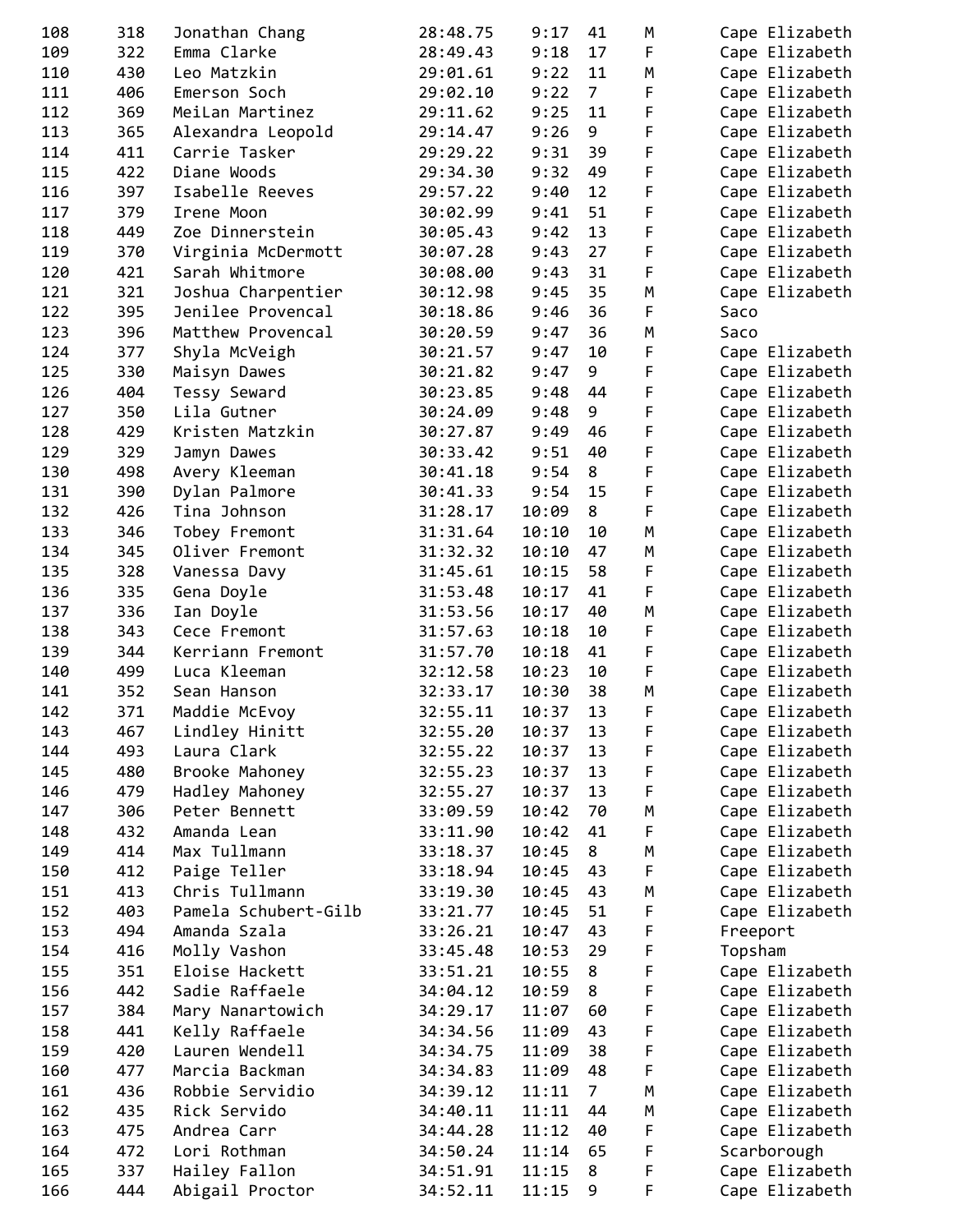| 108 | 318 | Jonathan Chang       | 28:48.75 | 9:17  | 41             | M | Cape Elizabeth |
|-----|-----|----------------------|----------|-------|----------------|---|----------------|
| 109 | 322 | Emma Clarke          | 28:49.43 | 9:18  | 17             | F | Cape Elizabeth |
| 110 | 430 | Leo Matzkin          | 29:01.61 | 9:22  | 11             | М | Cape Elizabeth |
| 111 | 406 | Emerson Soch         | 29:02.10 | 9:22  | $\overline{7}$ | F | Cape Elizabeth |
| 112 | 369 | MeiLan Martinez      | 29:11.62 | 9:25  | 11             | F | Cape Elizabeth |
| 113 | 365 | Alexandra Leopold    | 29:14.47 | 9:26  | 9              | F | Cape Elizabeth |
| 114 | 411 | Carrie Tasker        | 29:29.22 | 9:31  | 39             | F | Cape Elizabeth |
| 115 | 422 | Diane Woods          | 29:34.30 | 9:32  | 49             | F | Cape Elizabeth |
| 116 | 397 | Isabelle Reeves      | 29:57.22 | 9:40  | 12             | F | Cape Elizabeth |
| 117 | 379 | Irene Moon           | 30:02.99 | 9:41  | 51             | F | Cape Elizabeth |
| 118 | 449 | Zoe Dinnerstein      | 30:05.43 | 9:42  | 13             | F | Cape Elizabeth |
| 119 | 370 | Virginia McDermott   | 30:07.28 | 9:43  | 27             | F | Cape Elizabeth |
| 120 | 421 | Sarah Whitmore       | 30:08.00 | 9:43  | 31             | F | Cape Elizabeth |
| 121 | 321 | Joshua Charpentier   | 30:12.98 | 9:45  | 35             | M | Cape Elizabeth |
| 122 | 395 | Jenilee Provencal    | 30:18.86 | 9:46  | 36             | F | Saco           |
| 123 | 396 | Matthew Provencal    | 30:20.59 | 9:47  | 36             | M | Saco           |
| 124 | 377 | Shyla McVeigh        | 30:21.57 | 9:47  | 10             | F | Cape Elizabeth |
| 125 | 330 | Maisyn Dawes         | 30:21.82 | 9:47  | 9              | F | Cape Elizabeth |
| 126 | 404 | Tessy Seward         | 30:23.85 | 9:48  | 44             | F | Cape Elizabeth |
| 127 | 350 | Lila Gutner          | 30:24.09 | 9:48  | 9              | F | Cape Elizabeth |
| 128 | 429 | Kristen Matzkin      | 30:27.87 | 9:49  | 46             | F | Cape Elizabeth |
| 129 | 329 | Jamyn Dawes          | 30:33.42 | 9:51  | 40             | F | Cape Elizabeth |
| 130 | 498 | Avery Kleeman        | 30:41.18 | 9:54  | 8              | F | Cape Elizabeth |
| 131 | 390 | Dylan Palmore        | 30:41.33 | 9:54  | 15             | F | Cape Elizabeth |
| 132 | 426 | Tina Johnson         | 31:28.17 | 10:09 | 8              | F | Cape Elizabeth |
| 133 | 346 | Tobey Fremont        | 31:31.64 | 10:10 | 10             | M | Cape Elizabeth |
| 134 | 345 | Oliver Fremont       | 31:32.32 | 10:10 | 47             | M | Cape Elizabeth |
| 135 | 328 | Vanessa Davy         | 31:45.61 | 10:15 | 58             | F | Cape Elizabeth |
| 136 | 335 | Gena Doyle           | 31:53.48 | 10:17 | 41             | F | Cape Elizabeth |
| 137 | 336 | Ian Doyle            | 31:53.56 | 10:17 | 40             | M | Cape Elizabeth |
| 138 | 343 | Cece Fremont         | 31:57.63 | 10:18 | 10             | F | Cape Elizabeth |
| 139 | 344 | Kerriann Fremont     | 31:57.70 | 10:18 | 41             | F | Cape Elizabeth |
| 140 | 499 | Luca Kleeman         | 32:12.58 | 10:23 | 10             | F | Cape Elizabeth |
| 141 | 352 | Sean Hanson          | 32:33.17 | 10:30 | 38             | M | Cape Elizabeth |
| 142 | 371 | Maddie McEvoy        | 32:55.11 | 10:37 | 13             | F | Cape Elizabeth |
| 143 | 467 | Lindley Hinitt       | 32:55.20 | 10:37 | 13             | F | Cape Elizabeth |
| 144 | 493 | Laura Clark          | 32:55.22 | 10:37 | 13             | F | Cape Elizabeth |
| 145 | 480 | Brooke Mahoney       | 32:55.23 | 10:37 | 13             | F | Cape Elizabeth |
| 146 | 479 | Hadley Mahoney       | 32:55.27 | 10:37 | 13             | F | Cape Elizabeth |
| 147 | 306 | Peter Bennett        | 33:09.59 | 10:42 | 70             | M | Cape Elizabeth |
| 148 | 432 | Amanda Lean          | 33:11.90 | 10:42 | 41             | F | Cape Elizabeth |
| 149 | 414 | Max Tullmann         | 33:18.37 | 10:45 | 8              | M | Cape Elizabeth |
| 150 | 412 | Paige Teller         | 33:18.94 | 10:45 | 43             | F | Cape Elizabeth |
| 151 | 413 | Chris Tullmann       | 33:19.30 | 10:45 | 43             | M | Cape Elizabeth |
| 152 | 403 | Pamela Schubert-Gilb | 33:21.77 | 10:45 | 51             | F | Cape Elizabeth |
| 153 | 494 | Amanda Szala         | 33:26.21 | 10:47 | 43             | F | Freeport       |
| 154 | 416 | Molly Vashon         | 33:45.48 | 10:53 | 29             | F | Topsham        |
| 155 | 351 | Eloise Hackett       | 33:51.21 | 10:55 | 8              | F | Cape Elizabeth |
| 156 | 442 | Sadie Raffaele       | 34:04.12 | 10:59 | 8              | F | Cape Elizabeth |
| 157 | 384 | Mary Nanartowich     | 34:29.17 | 11:07 | 60             | F | Cape Elizabeth |
| 158 | 441 | Kelly Raffaele       | 34:34.56 | 11:09 | 43             | F | Cape Elizabeth |
| 159 | 420 | Lauren Wendell       | 34:34.75 | 11:09 | 38             | F | Cape Elizabeth |
| 160 | 477 | Marcia Backman       | 34:34.83 | 11:09 | 48             | F | Cape Elizabeth |
| 161 | 436 | Robbie Servidio      | 34:39.12 | 11:11 | 7 <sup>7</sup> | М | Cape Elizabeth |
| 162 | 435 | Rick Servido         | 34:40.11 | 11:11 | 44             | M | Cape Elizabeth |
| 163 | 475 | Andrea Carr          | 34:44.28 | 11:12 | 40             | F | Cape Elizabeth |
| 164 | 472 | Lori Rothman         | 34:50.24 | 11:14 | 65             | F | Scarborough    |
| 165 | 337 | Hailey Fallon        | 34:51.91 | 11:15 | 8              | F | Cape Elizabeth |
| 166 | 444 | Abigail Proctor      | 34:52.11 | 11:15 | 9              | F | Cape Elizabeth |
|     |     |                      |          |       |                |   |                |